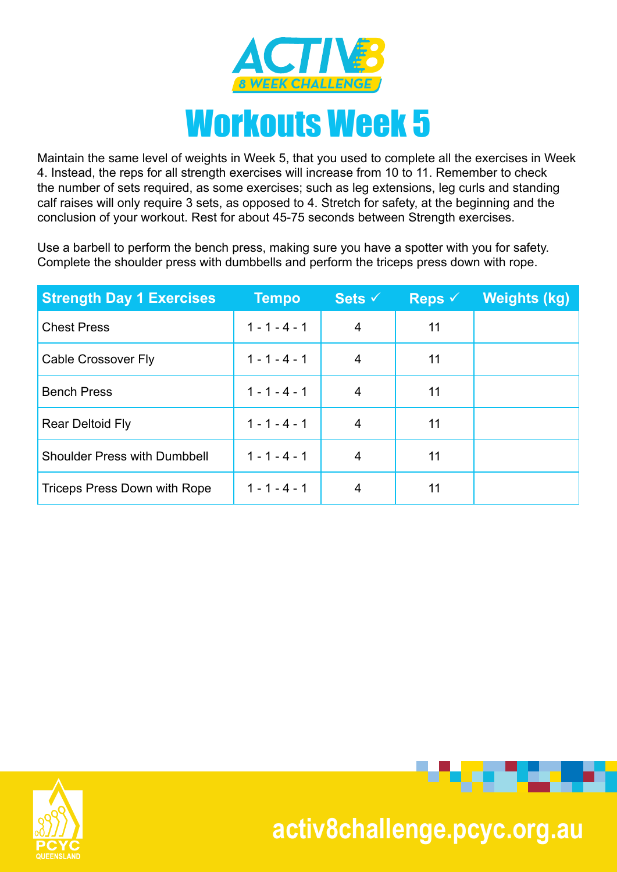

Maintain the same level of weights in Week 5, that you used to complete all the exercises in Week 4. Instead, the reps for all strength exercises will increase from 10 to 11. Remember to check the number of sets required, as some exercises; such as leg extensions, leg curls and standing calf raises will only require 3 sets, as opposed to 4. Stretch for safety, at the beginning and the conclusion of your workout. Rest for about 45-75 seconds between Strength exercises.

Use a barbell to perform the bench press, making sure you have a spotter with you for safety. Complete the shoulder press with dumbbells and perform the triceps press down with rope.

| <b>Strength Day 1 Exercises</b>     | <b>Tempo</b>    | Sets $\checkmark$ | Reps $\checkmark$ | Weights (kg) |
|-------------------------------------|-----------------|-------------------|-------------------|--------------|
| <b>Chest Press</b>                  | $1 - 1 - 4 - 1$ | 4                 | 11                |              |
| Cable Crossover Fly                 | $1 - 1 - 4 - 1$ | 4                 | 11                |              |
| <b>Bench Press</b>                  | $1 - 1 - 4 - 1$ | 4                 | 11                |              |
| <b>Rear Deltoid Fly</b>             | $1 - 1 - 4 - 1$ | 4                 | 11                |              |
| <b>Shoulder Press with Dumbbell</b> | $1 - 1 - 4 - 1$ | 4                 | 11                |              |
| Triceps Press Down with Rope        | $1 - 1 - 4 - 1$ | 4                 | 11                |              |





. . . .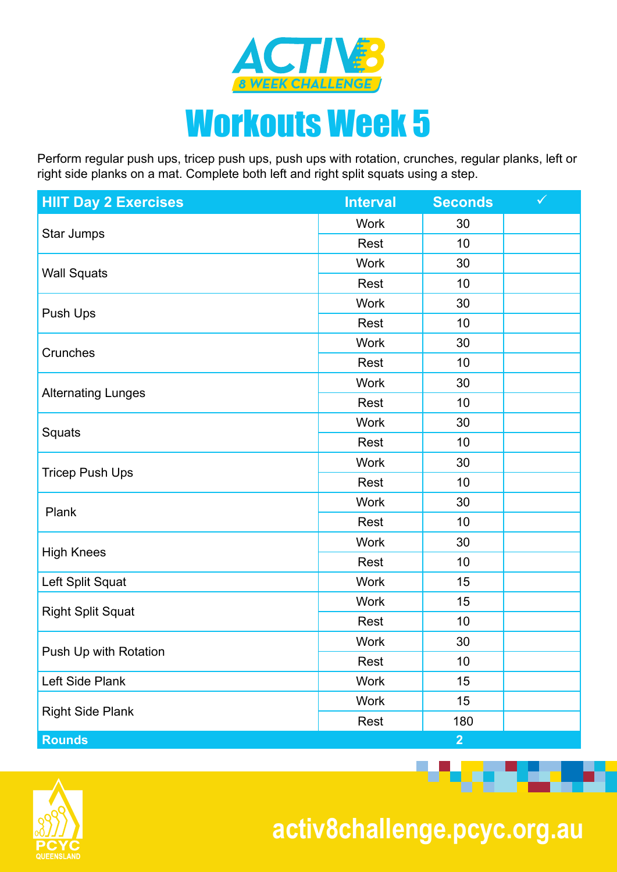

Perform regular push ups, tricep push ups, push ups with rotation, crunches, regular planks, left or right side planks on a mat. Complete both left and right split squats using a step.

| <b>HIIT Day 2 Exercises</b> | <b>Interval</b>                                                                                                                                                                                                                                                        | <b>Seconds</b>                                                                                                                                                  | $\checkmark$ |
|-----------------------------|------------------------------------------------------------------------------------------------------------------------------------------------------------------------------------------------------------------------------------------------------------------------|-----------------------------------------------------------------------------------------------------------------------------------------------------------------|--------------|
|                             | <b>Work</b>                                                                                                                                                                                                                                                            | 30                                                                                                                                                              |              |
| Star Jumps                  | Rest                                                                                                                                                                                                                                                                   | 10                                                                                                                                                              |              |
|                             | <b>Work</b>                                                                                                                                                                                                                                                            | 30<br>10<br>30<br>10<br>30<br>10<br>30<br>10<br>30<br>10<br>30<br>10<br>30<br>10<br>30<br>10<br>15<br>15<br>10<br>30<br>10<br>15<br>15<br>180<br>$\overline{2}$ |              |
| <b>Wall Squats</b>          | Rest                                                                                                                                                                                                                                                                   |                                                                                                                                                                 |              |
|                             | <b>Work</b>                                                                                                                                                                                                                                                            |                                                                                                                                                                 |              |
| Push Ups                    | Rest<br><b>Work</b><br><b>Rest</b><br><b>Work</b><br>Rest<br><b>Work</b><br>Rest<br><b>Work</b><br><b>Rest</b><br><b>Work</b><br>Rest<br><b>Work</b><br><b>Rest</b><br><b>Work</b><br><b>Work</b><br>Rest<br><b>Work</b><br>Rest<br><b>Work</b><br><b>Work</b><br>Rest |                                                                                                                                                                 |              |
|                             |                                                                                                                                                                                                                                                                        |                                                                                                                                                                 |              |
| Crunches                    |                                                                                                                                                                                                                                                                        |                                                                                                                                                                 |              |
|                             |                                                                                                                                                                                                                                                                        |                                                                                                                                                                 |              |
| <b>Alternating Lunges</b>   |                                                                                                                                                                                                                                                                        |                                                                                                                                                                 |              |
| Squats                      |                                                                                                                                                                                                                                                                        |                                                                                                                                                                 |              |
|                             |                                                                                                                                                                                                                                                                        |                                                                                                                                                                 |              |
|                             |                                                                                                                                                                                                                                                                        |                                                                                                                                                                 |              |
| <b>Tricep Push Ups</b>      |                                                                                                                                                                                                                                                                        |                                                                                                                                                                 |              |
|                             |                                                                                                                                                                                                                                                                        |                                                                                                                                                                 |              |
| Plank                       |                                                                                                                                                                                                                                                                        |                                                                                                                                                                 |              |
|                             |                                                                                                                                                                                                                                                                        |                                                                                                                                                                 |              |
| <b>High Knees</b>           |                                                                                                                                                                                                                                                                        |                                                                                                                                                                 |              |
| Left Split Squat            |                                                                                                                                                                                                                                                                        |                                                                                                                                                                 |              |
|                             |                                                                                                                                                                                                                                                                        |                                                                                                                                                                 |              |
| <b>Right Split Squat</b>    |                                                                                                                                                                                                                                                                        |                                                                                                                                                                 |              |
|                             |                                                                                                                                                                                                                                                                        |                                                                                                                                                                 |              |
| Push Up with Rotation       |                                                                                                                                                                                                                                                                        |                                                                                                                                                                 |              |
| Left Side Plank             |                                                                                                                                                                                                                                                                        |                                                                                                                                                                 |              |
|                             |                                                                                                                                                                                                                                                                        |                                                                                                                                                                 |              |
| <b>Right Side Plank</b>     |                                                                                                                                                                                                                                                                        |                                                                                                                                                                 |              |
| <b>Rounds</b>               |                                                                                                                                                                                                                                                                        |                                                                                                                                                                 |              |



 **activ8challenge.pcyc.org.au**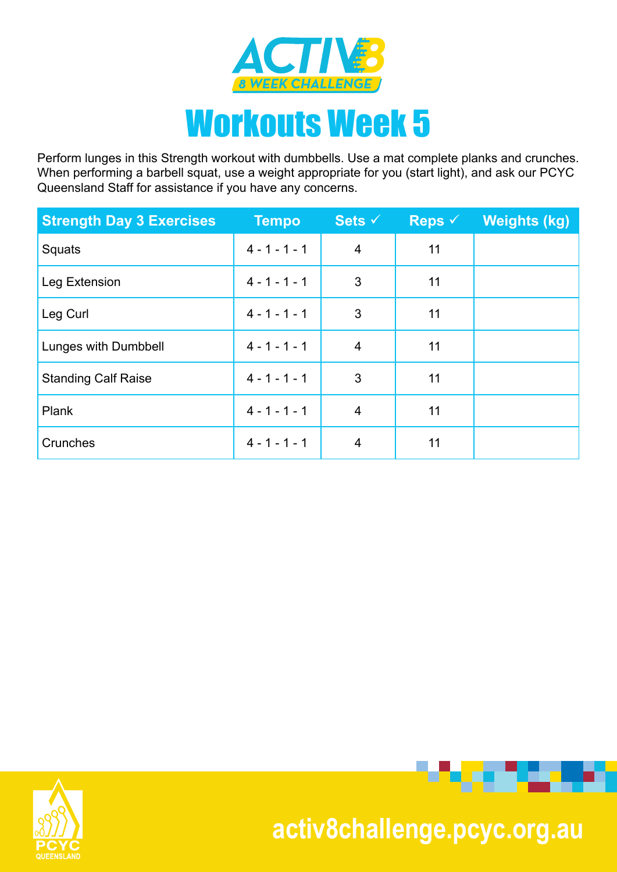

Perform lunges in this Strength workout with dumbbells. Use a mat complete planks and crunches. When performing a barbell squat, use a weight appropriate for you (start light), and ask our PCYC Queensland Staff for assistance if you have any concerns.

| <b>Strength Day 3 Exercises</b> | <b>Tempo</b>    | Sets $\checkmark$ | <b>Reps</b> $\checkmark$ | <b>Weights</b> (kg) |
|---------------------------------|-----------------|-------------------|--------------------------|---------------------|
| Squats                          | $4 - 1 - 1 - 1$ | $\overline{4}$    | 11                       |                     |
| Leg Extension                   | $4 - 1 - 1 - 1$ | 3                 | 11                       |                     |
| Leg Curl                        | $4 - 1 - 1 - 1$ | 3                 | 11                       |                     |
| Lunges with Dumbbell            | $4 - 1 - 1 - 1$ | 4                 | 11                       |                     |
| <b>Standing Calf Raise</b>      | $4 - 1 - 1 - 1$ | 3                 | 11                       |                     |
| Plank                           | $4 - 1 - 1 - 1$ | $\overline{4}$    | 11                       |                     |
| Crunches                        | $4 - 1 - 1 - 1$ | 4                 | 11                       |                     |





**Provident Contract**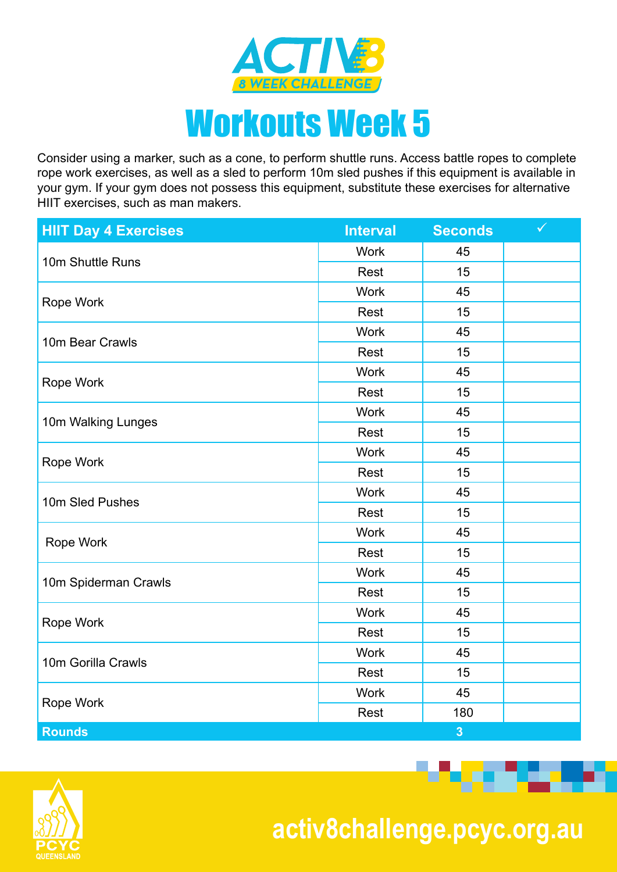

Consider using a marker, such as a cone, to perform shuttle runs. Access battle ropes to complete rope work exercises, as well as a sled to perform 10m sled pushes if this equipment is available in your gym. If your gym does not possess this equipment, substitute these exercises for alternative HIIT exercises, such as man makers.

| <b>HIIT Day 4 Exercises</b> | <b>Interval</b>                                                                                                                                                                                                                                                         | <b>Seconds</b>                                                                                                                          | $\checkmark$ |
|-----------------------------|-------------------------------------------------------------------------------------------------------------------------------------------------------------------------------------------------------------------------------------------------------------------------|-----------------------------------------------------------------------------------------------------------------------------------------|--------------|
| 10m Shuttle Runs            | <b>Work</b>                                                                                                                                                                                                                                                             | 45                                                                                                                                      |              |
|                             | Rest                                                                                                                                                                                                                                                                    | 15<br>45<br>15<br>45<br>15<br>45<br>15<br>45<br>15<br>45<br>15<br>45<br>15<br>45<br>15<br>45<br>15<br>45<br>15<br>45<br>15<br>45<br>180 |              |
|                             | <b>Work</b><br>Rest<br><b>Work</b><br>Rest<br><b>Work</b><br>Rest<br><b>Work</b><br>Rest<br><b>Work</b><br>Rest<br><b>Work</b><br>Rest<br><b>Work</b><br><b>Rest</b><br><b>Work</b><br>Rest<br><b>Work</b><br>Rest<br><b>Work</b><br>Rest<br><b>Work</b><br><b>Rest</b> |                                                                                                                                         |              |
| Rope Work                   |                                                                                                                                                                                                                                                                         |                                                                                                                                         |              |
| 10m Bear Crawls             |                                                                                                                                                                                                                                                                         |                                                                                                                                         |              |
|                             |                                                                                                                                                                                                                                                                         |                                                                                                                                         |              |
|                             |                                                                                                                                                                                                                                                                         |                                                                                                                                         |              |
| Rope Work                   |                                                                                                                                                                                                                                                                         |                                                                                                                                         |              |
| 10m Walking Lunges          |                                                                                                                                                                                                                                                                         |                                                                                                                                         |              |
|                             |                                                                                                                                                                                                                                                                         |                                                                                                                                         |              |
|                             |                                                                                                                                                                                                                                                                         |                                                                                                                                         |              |
| Rope Work                   |                                                                                                                                                                                                                                                                         |                                                                                                                                         |              |
| 10m Sled Pushes             |                                                                                                                                                                                                                                                                         |                                                                                                                                         |              |
|                             | $\overline{3}$                                                                                                                                                                                                                                                          |                                                                                                                                         |              |
|                             |                                                                                                                                                                                                                                                                         |                                                                                                                                         |              |
| Rope Work                   |                                                                                                                                                                                                                                                                         |                                                                                                                                         |              |
| 10m Spiderman Crawls        |                                                                                                                                                                                                                                                                         |                                                                                                                                         |              |
|                             |                                                                                                                                                                                                                                                                         |                                                                                                                                         |              |
| Rope Work                   |                                                                                                                                                                                                                                                                         |                                                                                                                                         |              |
|                             |                                                                                                                                                                                                                                                                         |                                                                                                                                         |              |
| 10m Gorilla Crawls          |                                                                                                                                                                                                                                                                         |                                                                                                                                         |              |
|                             |                                                                                                                                                                                                                                                                         |                                                                                                                                         |              |
|                             |                                                                                                                                                                                                                                                                         |                                                                                                                                         |              |
| Rope Work                   |                                                                                                                                                                                                                                                                         |                                                                                                                                         |              |
| <b>Rounds</b>               |                                                                                                                                                                                                                                                                         |                                                                                                                                         |              |



 **activ8challenge.pcyc.org.au**

. . . . .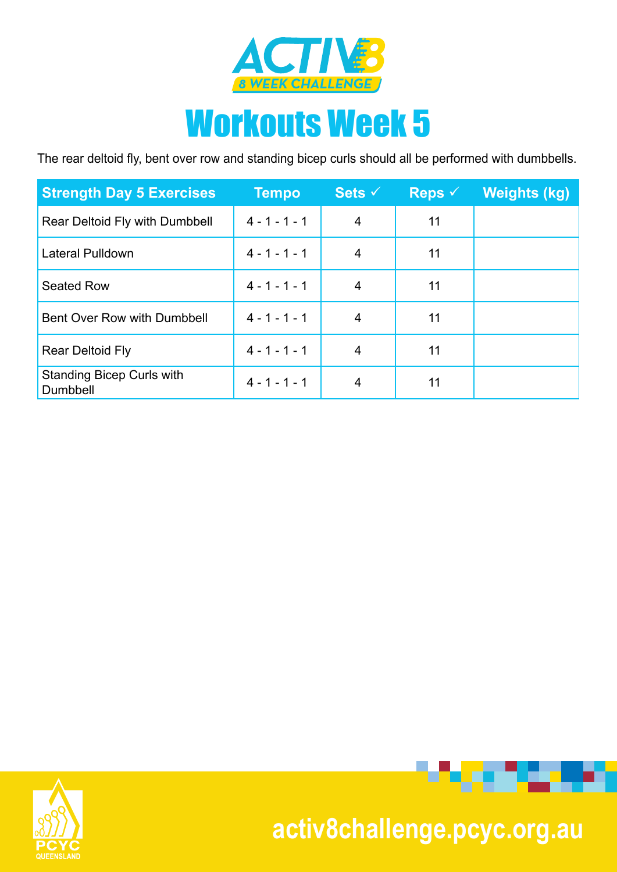

## Workouts Week 5

The rear deltoid fly, bent over row and standing bicep curls should all be performed with dumbbells.

| <b>Strength Day 5 Exercises</b>              | <b>Tempo</b>    | Sets $\checkmark$ | Reps $\checkmark$ | Weights (kg) |
|----------------------------------------------|-----------------|-------------------|-------------------|--------------|
| Rear Deltoid Fly with Dumbbell               | $4 - 1 - 1 - 1$ | 4                 | 11                |              |
| Lateral Pulldown                             | $4 - 1 - 1 - 1$ | 4                 | 11                |              |
| <b>Seated Row</b>                            | $4 - 1 - 1 - 1$ | 4                 | 11                |              |
| Bent Over Row with Dumbbell                  | $4 - 1 - 1 - 1$ | 4                 | 11                |              |
| <b>Rear Deltoid Fly</b>                      | $4 - 1 - 1 - 1$ | 4                 | 11                |              |
| <b>Standing Bicep Curls with</b><br>Dumbbell | $4 - 1 - 1 - 1$ | 4                 | 11                |              |





## **activ8challenge.pcyc.org.au**